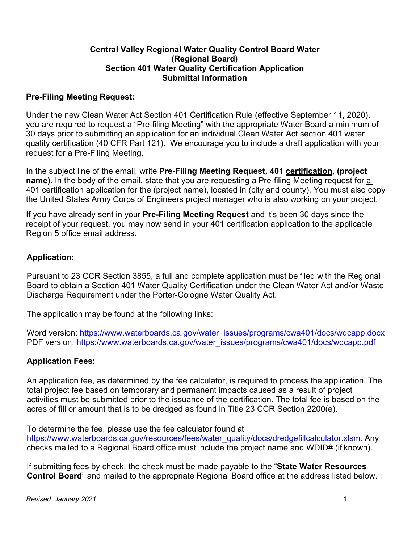#### **Central Valley Regional Water Quality Control Board Water (Regional Board) Section 401 Water Quality Certification Application Submittal Information**

# **Pre-Filing Meeting Request:**

Under the new Clean Water Act Section 401 Certification Rule (effective September 11, 2020), you are required to request a "Pre-filing Meeting" with the appropriate Water Board a minimum of 30 days prior to submitting an application for an individual Clean Water Act section 401 water quality certification (40 CFR Part 121). We encourage you to include a draft application with your request for a Pre-Filing Meeting.

In the subject line of the email, write **Pre-Filing Meeting Request, 401 certification, (project name)**. In the body of the email, state that you are requesting a Pre-filing Meeting request for a 401 certification application for the (project name), located in (city and county). You must also copy the United States Army Corps of Engineers project manager who is also working on your project.

If you have already sent in your **Pre-Filing Meeting Request** and it's been 30 days since the receipt of your request, you may now send in your 401 certification application to the applicable Region 5 office email address.

# **Application:**

Pursuant to 23 CCR Section 3855, a full and complete application must be filed with the Regional Board to obtain a Section 401 Water Quality Certification under the Clean Water Act and/or Waste Discharge Requirement under the Porter-Cologne Water Quality Act.

The application may be found at the following links:

Word version: [https://www.waterboards.ca.gov/water\\_issues/programs/cwa401/docs/wqcapp.docx](https://www.waterboards.ca.gov/water_issues/programs/cwa401/docs/wqcapp.docx) PDF version: [https://www.waterboards.ca.gov/water\\_issues/programs/cwa401/docs/wqcapp.pdf](https://www.waterboards.ca.gov/water_issues/programs/cwa401/docs/wqcapp.pdf)

# **Application Fees:**

An application fee, as determined by the fee calculator, is required to process the application. The total project fee based on temporary and permanent impacts caused as a result of project activities must be submitted prior to the issuance of the certification. The total fee is based on the acres of fill or amount that is to be dredged as found in Title 23 CCR Section 2200(e).

To determine the fee, please use the fee calculator found a[t](http://www.waterboards.ca.gov/water_issues/programs/#wqcert) 

https://www.waterboards.ca.gov/resources/fees/water\_quality/docs/dredgefillcalculator.xlsm. Any checks mailed to a Regional Board office must include the project name and WDID# (if known).

If submitting fees by check, the check must be made payable to the "**State Water Resources Control Board**" and mailed to the appropriate Regional Board office at the address listed below.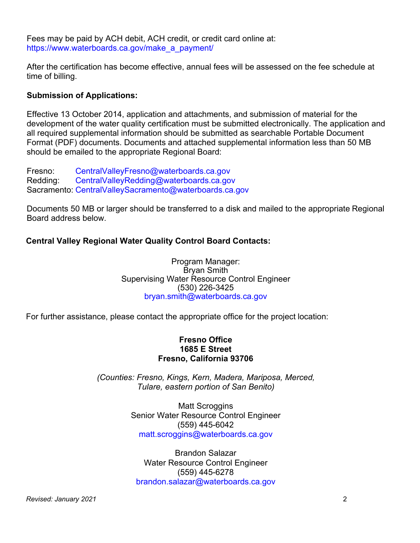Fees may be paid by ACH debit, ACH credit, or credit card online at: [https://www.waterboards.ca.gov/make\\_a\\_payment/](https://www.waterboards.ca.gov/make_a_payment/)

After the certification has become effective, annual fees will be assessed on the fee schedule at time of billing.

# **Submission of Applications:**

Effective 13 October 2014, application and attachments, and submission of material for the development of the water quality certification must be submitted electronically. The application and all required supplemental information should be submitted as searchable Portable Document Format (PDF) documents. Documents and attached supplemental information less than 50 MB should be emailed to the appropriate Regional Board:

Fresno: [CentralValleyFresno@waterboards.ca.gov](mailto:CentralValleyFresno@waterboards.ca.gov) Redding: [CentralValleyRedding@waterboards.ca.gov](mailto:CentralValleyRedding@waterboards.ca.gov) Sacramento: [CentralValleySacramento@waterboards.ca.gov](mailto:CentralValleySacramento@waterboards.ca.gov) 

Documents 50 MB or larger should be transferred to a disk and mailed to the appropriate Regional Board address below.

# **Central Valley Regional Water Quality Control Board Contacts:**

Program Manager: Bryan Smith Supervising Water Resource Control Engineer (530) 226-3425 [bryan.smith@waterboards.ca.gov](mailto:bryan.smith@waterboards.ca.gov)

For further assistance, please contact the appropriate office for the project location:

#### **Fresno Office 1685 E Street Fresno, California 93706**

*(Counties: Fresno, Kings, Kern, Madera, Mariposa, Merced, Tulare, eastern portion of San Benito)*

> Matt Scroggins Senior Water Resource Control Engineer (559) 445-6042 [matt.scroggins@waterboards.ca.gov](mailto:matt.scroggins@waterboards.ca.gov)

Brandon Salazar Water Resource Control Engineer (559) 445-6278 [brandon.salazar@waterboards.ca.gov](mailto:brandon.salazar@waterboards.ca.gov)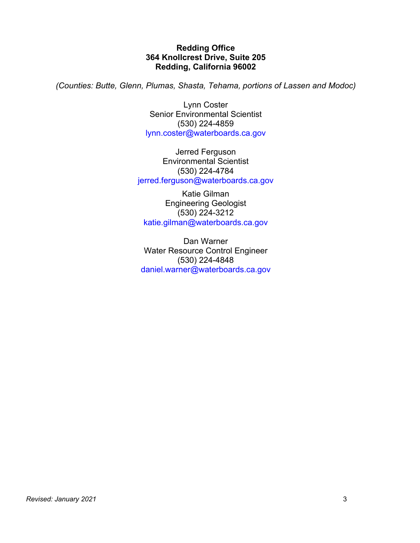#### **Redding Office 364 Knollcrest Drive, Suite 205 Redding, California 96002**

*(Counties: Butte, Glenn, Plumas, Shasta, Tehama, portions of Lassen and Modoc)*

Lynn Coster Senior Environmental Scientist (530) 224-4859 [lynn.coster@waterboards.ca.gov](mailto:lynn.coster@waterboards.ca.gov)

Jerred Ferguson Environmental Scientist (530) 224-4784 [jerred.ferguson@waterboards.ca.gov](mailto:jerred.ferguson@waterboards.ca.gov)

Katie Gilman Engineering Geologist (530) 224-3212 [katie.gilman@waterboards.ca.gov](mailto:katie.gilman@waterboards.ca.gov)

Dan Warner Water Resource Control Engineer (530) 224-4848 [daniel.warner@waterboards.ca.gov](mailto:daniel.warner@waterboards.ca.gov)